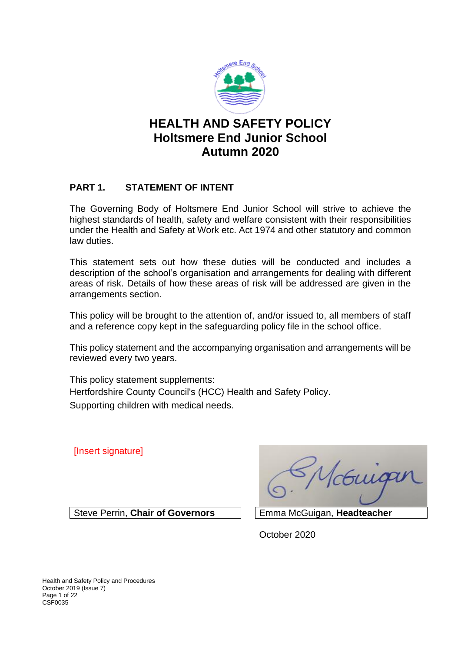

# **HEALTH AND SAFETY POLICY Holtsmere End Junior School Autumn 2020**

## **PART 1. STATEMENT OF INTENT**

The Governing Body of Holtsmere End Junior School will strive to achieve the highest standards of health, safety and welfare consistent with their responsibilities under the Health and Safety at Work etc. Act 1974 and other statutory and common law duties.

This statement sets out how these duties will be conducted and includes a description of the school's organisation and arrangements for dealing with different areas of risk. Details of how these areas of risk will be addressed are given in the arrangements section.

This policy will be brought to the attention of, and/or issued to, all members of staff and a reference copy kept in the safeguarding policy file in the school office.

This policy statement and the accompanying organisation and arrangements will be reviewed every two years.

This policy statement supplements: Hertfordshire County Council's (HCC) Health and Safety Policy. Supporting children with medical needs.

[Insert signature]

Vcouige

Steve Perrin, **Chair of Governors** Emma McGuigan, **Headteacher**

October 2020

Health and Safety Policy and Procedures October 2019 (Issue 7) Page 1 of 22 CSF0035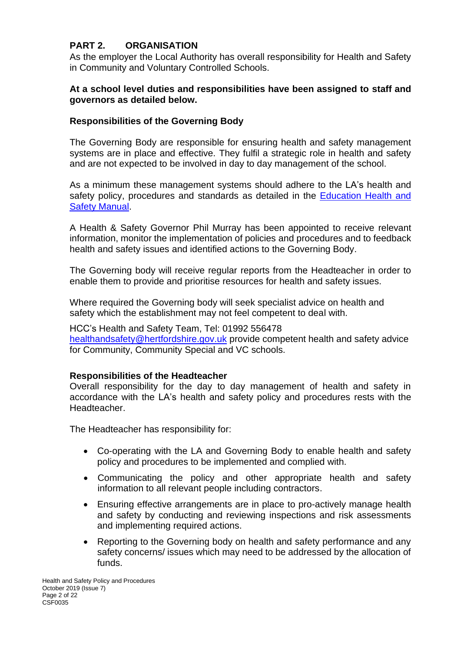## **PART 2. ORGANISATION**

As the employer the Local Authority has overall responsibility for Health and Safety in Community and Voluntary Controlled Schools.

## **At a school level duties and responsibilities have been assigned to staff and governors as detailed below.**

## **Responsibilities of the Governing Body**

The Governing Body are responsible for ensuring health and safety management systems are in place and effective. They fulfil a strategic role in health and safety and are not expected to be involved in day to day management of the school.

As a minimum these management systems should adhere to the LA's health and safety policy, procedures and standards as detailed in the Education Health and **[Safety Manual.](http://www.thegrid.org.uk/info/healthandsafety/manual.shtml)** 

A Health & Safety Governor Phil Murray has been appointed to receive relevant information, monitor the implementation of policies and procedures and to feedback health and safety issues and identified actions to the Governing Body.

The Governing body will receive regular reports from the Headteacher in order to enable them to provide and prioritise resources for health and safety issues.

Where required the Governing body will seek specialist advice on health and safety which the establishment may not feel competent to deal with.

HCC's Health and Safety Team, Tel: 01992 556478 [healthandsafety@hertfordshire.gov.uk](mailto:healthandsafety@hertfordshire.gov.uk) provide competent health and safety advice for Community, Community Special and VC schools.

### **Responsibilities of the Headteacher**

Overall responsibility for the day to day management of health and safety in accordance with the LA's health and safety policy and procedures rests with the Headteacher.

The Headteacher has responsibility for:

- Co-operating with the LA and Governing Body to enable health and safety policy and procedures to be implemented and complied with.
- Communicating the policy and other appropriate health and safety information to all relevant people including contractors.
- Ensuring effective arrangements are in place to pro-actively manage health and safety by conducting and reviewing inspections and risk assessments and implementing required actions.
- Reporting to the Governing body on health and safety performance and any safety concerns/ issues which may need to be addressed by the allocation of funds.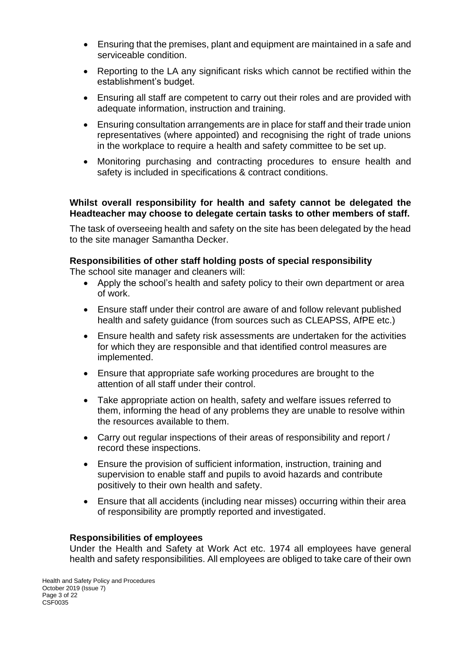- Ensuring that the premises, plant and equipment are maintained in a safe and serviceable condition.
- Reporting to the LA any significant risks which cannot be rectified within the establishment's budget.
- Ensuring all staff are competent to carry out their roles and are provided with adequate information, instruction and training.
- Ensuring consultation arrangements are in place for staff and their trade union representatives (where appointed) and recognising the right of trade unions in the workplace to require a health and safety committee to be set up.
- Monitoring purchasing and contracting procedures to ensure health and safety is included in specifications & contract conditions.

### **Whilst overall responsibility for health and safety cannot be delegated the Headteacher may choose to delegate certain tasks to other members of staff.**

The task of overseeing health and safety on the site has been delegated by the head to the site manager Samantha Decker.

## **Responsibilities of other staff holding posts of special responsibility**

The school site manager and cleaners will:

- Apply the school's health and safety policy to their own department or area of work.
- Ensure staff under their control are aware of and follow relevant published health and safety guidance (from sources such as CLEAPSS, AfPE etc.)
- Ensure health and safety risk assessments are undertaken for the activities for which they are responsible and that identified control measures are implemented.
- Ensure that appropriate safe working procedures are brought to the attention of all staff under their control.
- Take appropriate action on health, safety and welfare issues referred to them, informing the head of any problems they are unable to resolve within the resources available to them.
- Carry out regular inspections of their areas of responsibility and report / record these inspections.
- Ensure the provision of sufficient information, instruction, training and supervision to enable staff and pupils to avoid hazards and contribute positively to their own health and safety.
- Ensure that all accidents (including near misses) occurring within their area of responsibility are promptly reported and investigated.

### **Responsibilities of employees**

Under the Health and Safety at Work Act etc. 1974 all employees have general health and safety responsibilities. All employees are obliged to take care of their own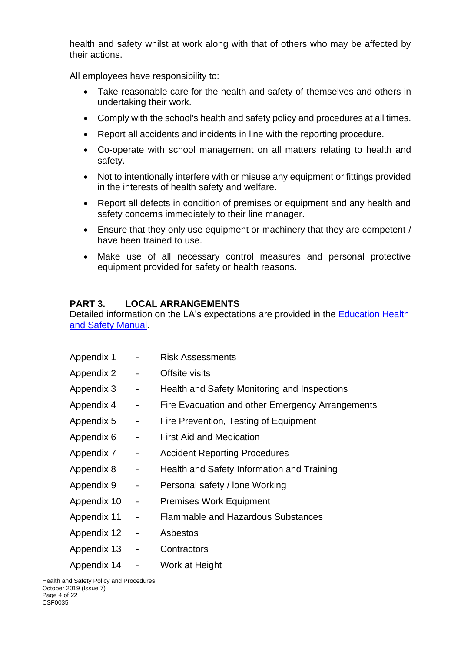health and safety whilst at work along with that of others who may be affected by their actions.

All employees have responsibility to:

- Take reasonable care for the health and safety of themselves and others in undertaking their work.
- Comply with the school's health and safety policy and procedures at all times.
- Report all accidents and incidents in line with the reporting procedure.
- Co-operate with school management on all matters relating to health and safety.
- Not to intentionally interfere with or misuse any equipment or fittings provided in the interests of health safety and welfare.
- Report all defects in condition of premises or equipment and any health and safety concerns immediately to their line manager.
- Ensure that they only use equipment or machinery that they are competent / have been trained to use.
- Make use of all necessary control measures and personal protective equipment provided for safety or health reasons.

## **PART 3. LOCAL ARRANGEMENTS**

Detailed information on the LA's expectations are provided in the Education Health [and Safety Manual.](http://www.thegrid.org.uk/info/healthandsafety/manual.shtml)

| Appendix 1  |                              | <b>Risk Assessments</b>                          |
|-------------|------------------------------|--------------------------------------------------|
| Appendix 2  |                              | Offsite visits                                   |
| Appendix 3  | -                            | Health and Safety Monitoring and Inspections     |
| Appendix 4  | -                            | Fire Evacuation and other Emergency Arrangements |
| Appendix 5  | -                            | Fire Prevention, Testing of Equipment            |
| Appendix 6  | -                            | <b>First Aid and Medication</b>                  |
| Appendix 7  | -                            | <b>Accident Reporting Procedures</b>             |
| Appendix 8  | -                            | Health and Safety Information and Training       |
| Appendix 9  | -                            | Personal safety / lone Working                   |
| Appendix 10 | -                            | <b>Premises Work Equipment</b>                   |
| Appendix 11 | $\qquad \qquad \blacksquare$ | <b>Flammable and Hazardous Substances</b>        |
| Appendix 12 | $\qquad \qquad \blacksquare$ | Asbestos                                         |
| Appendix 13 | -                            | Contractors                                      |
| Appendix 14 | -                            | Work at Height                                   |

Health and Safety Policy and Procedures October 2019 (Issue 7) Page 4 of 22 CSF0035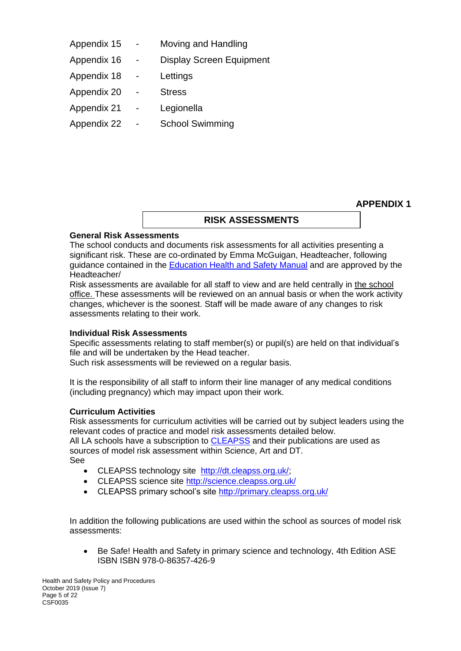| Appendix 15 | Moving and Handling             |
|-------------|---------------------------------|
| Appendix 16 | <b>Display Screen Equipment</b> |
| Appendix 18 | Lettings                        |
| Appendix 20 | <b>Stress</b>                   |
| Appendix 21 | Legionella                      |
| Appendix 22 | <b>School Swimming</b>          |

**APPENDIX 1**

### **RISK ASSESSMENTS**

### **General Risk Assessments**

The school conducts and documents risk assessments for all activities presenting a significant risk. These are co-ordinated by Emma McGuigan, Headteacher, following guidance contained in the [Education Health and Safety Manual](http://www.thegrid.org.uk/info/healthandsafety/manual.shtml#r) and are approved by the Headteacher/

Risk assessments are available for all staff to view and are held centrally in the school office. These assessments will be reviewed on an annual basis or when the work activity changes, whichever is the soonest. Staff will be made aware of any changes to risk assessments relating to their work.

### **Individual Risk Assessments**

Specific assessments relating to staff member(s) or pupil(s) are held on that individual's file and will be undertaken by the Head teacher.

Such risk assessments will be reviewed on a regular basis.

It is the responsibility of all staff to inform their line manager of any medical conditions (including pregnancy) which may impact upon their work.

### **Curriculum Activities**

Risk assessments for curriculum activities will be carried out by subject leaders using the relevant codes of practice and model risk assessments detailed below.

All LA schools have a subscription to **CLEAPSS** and their publications are used as sources of model risk assessment within Science, Art and DT. See

- CLEAPSS technology site [http://dt.cleapss.org.uk/;](http://dt.cleapss.org.uk/)
- CLEAPSS science site<http://science.cleapss.org.uk/>
- CLEAPSS primary school's site<http://primary.cleapss.org.uk/>

In addition the following publications are used within the school as sources of model risk assessments:

• Be Safe! Health and Safety in primary science and technology, 4th Edition ASE ISBN ISBN 978-0-86357-426-9

Health and Safety Policy and Procedures October 2019 (Issue 7) Page 5 of 22 CSF0035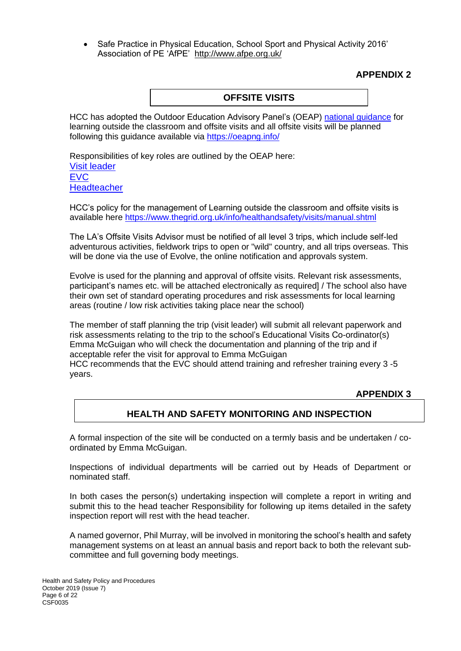• Safe Practice in Physical Education, School Sport and Physical Activity 2016' Association of PE 'AfPE' <http://www.afpe.org.uk/>

## **APPENDIX 2**

### **OFFSITE VISITS**

HCC has adopted the Outdoor Education Advisory Panel's (OEAP) [national guidance](https://oeapng.info/) for learning outside the classroom and offsite visits and all offsite visits will be planned following this guidance available via<https://oeapng.info/>

Responsibilities of key roles are outlined by the OEAP here: [Visit leader](https://oeapng.info/downloads/download-info/3-4k-visit-or-activity-leader) [EVC](https://oeapng.info/downloads/download-info/3-4j-evc-responsibilities) **[Headteacher](https://oeapng.info/downloads/download-info/3-4g-headteacher/)** 

HCC's policy for the management of Learning outside the classroom and offsite visits is available here<https://www.thegrid.org.uk/info/healthandsafety/visits/manual.shtml>

The LA's Offsite Visits Advisor must be notified of all level 3 trips, which include self-led adventurous activities, fieldwork trips to open or "wild" country, and all trips overseas. This will be done via the use of Evolve, the online notification and approvals system.

Evolve is used for the planning and approval of offsite visits. Relevant risk assessments, participant's names etc. will be attached electronically as required] / The school also have their own set of standard operating procedures and risk assessments for local learning areas (routine / low risk activities taking place near the school)

The member of staff planning the trip (visit leader) will submit all relevant paperwork and risk assessments relating to the trip to the school's Educational Visits Co-ordinator(s) Emma McGuigan who will check the documentation and planning of the trip and if acceptable refer the visit for approval to Emma McGuigan HCC recommends that the EVC should attend training and refresher training every 3 -5 years.

### **APPENDIX 3**

## **HEALTH AND SAFETY MONITORING AND INSPECTION**

A formal inspection of the site will be conducted on a termly basis and be undertaken / coordinated by Emma McGuigan.

Inspections of individual departments will be carried out by Heads of Department or nominated staff.

In both cases the person(s) undertaking inspection will complete a report in writing and submit this to the head teacher Responsibility for following up items detailed in the safety inspection report will rest with the head teacher.

A named governor, Phil Murray, will be involved in monitoring the school's health and safety management systems on at least an annual basis and report back to both the relevant subcommittee and full governing body meetings.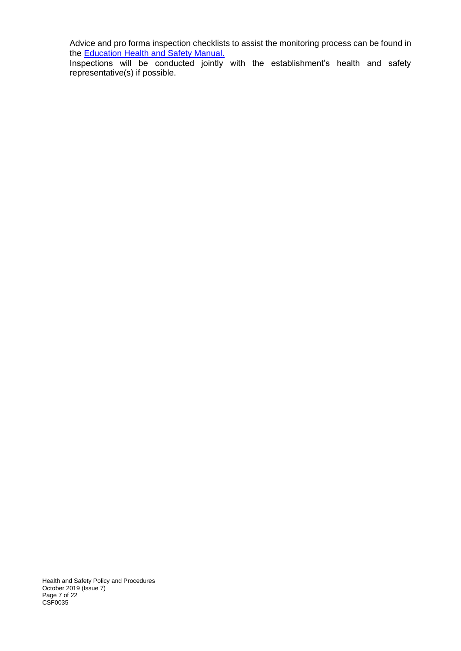Advice and pro forma inspection checklists to assist the monitoring process can be found in the **Education Health and Safety Manual.** 

Inspections will be conducted jointly with the establishment's health and safety representative(s) if possible.

Health and Safety Policy and Procedures October 2019 (Issue 7) Page 7 of 22 CSF0035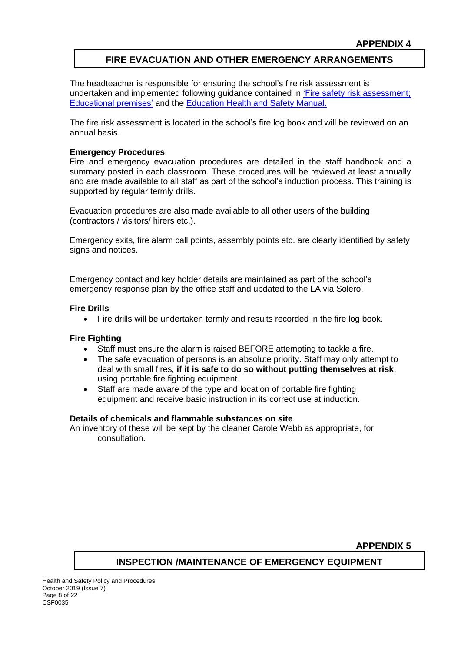## **FIRE EVACUATION AND OTHER EMERGENCY ARRANGEMENTS**

The headteacher is responsible for ensuring the school's fire risk assessment is undertaken and implemented following guidance contained in ['Fire safety risk assessment;](https://www.gov.uk/government/publications/fire-safety-risk-assessment-educational-premises)  [Educational premises'](https://www.gov.uk/government/publications/fire-safety-risk-assessment-educational-premises) and the [Education Health and Safety Manual.](http://www.thegrid.org.uk/info/healthandsafety/fire_safety.shtml) 

The fire risk assessment is located in the school's fire log book and will be reviewed on an annual basis.

#### **Emergency Procedures**

Fire and emergency evacuation procedures are detailed in the staff handbook and a summary posted in each classroom. These procedures will be reviewed at least annually and are made available to all staff as part of the school's induction process. This training is supported by regular termly drills.

Evacuation procedures are also made available to all other users of the building (contractors / visitors/ hirers etc.).

Emergency exits, fire alarm call points, assembly points etc. are clearly identified by safety signs and notices.

Emergency contact and key holder details are maintained as part of the school's emergency response plan by the office staff and updated to the LA via Solero.

#### **Fire Drills**

• Fire drills will be undertaken termly and results recorded in the fire log book.

#### **Fire Fighting**

- Staff must ensure the alarm is raised BEFORE attempting to tackle a fire.
- The safe evacuation of persons is an absolute priority. Staff may only attempt to deal with small fires, **if it is safe to do so without putting themselves at risk**, using portable fire fighting equipment.
- Staff are made aware of the type and location of portable fire fighting equipment and receive basic instruction in its correct use at induction.

#### **Details of chemicals and flammable substances on site**.

An inventory of these will be kept by the cleaner Carole Webb as appropriate, for consultation.

**APPENDIX 5**

### **INSPECTION /MAINTENANCE OF EMERGENCY EQUIPMENT**

Health and Safety Policy and Procedures October 2019 (Issue 7) Page 8 of 22 CSF0035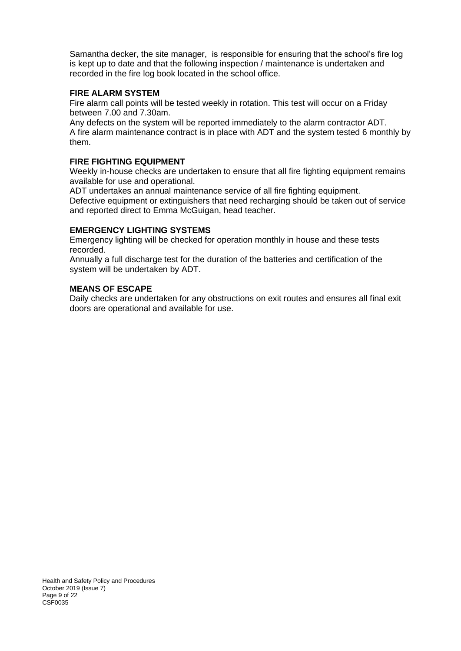Samantha decker, the site manager, is responsible for ensuring that the school's fire log is kept up to date and that the following inspection / maintenance is undertaken and recorded in the fire log book located in the school office.

### **FIRE ALARM SYSTEM**

Fire alarm call points will be tested weekly in rotation. This test will occur on a Friday between 7.00 and 7.30am.

Any defects on the system will be reported immediately to the alarm contractor ADT. A fire alarm maintenance contract is in place with ADT and the system tested 6 monthly by them.

### **FIRE FIGHTING EQUIPMENT**

Weekly in-house checks are undertaken to ensure that all fire fighting equipment remains available for use and operational.

ADT undertakes an annual maintenance service of all fire fighting equipment. Defective equipment or extinguishers that need recharging should be taken out of service and reported direct to Emma McGuigan, head teacher.

#### **EMERGENCY LIGHTING SYSTEMS**

Emergency lighting will be checked for operation monthly in house and these tests recorded.

Annually a full discharge test for the duration of the batteries and certification of the system will be undertaken by ADT.

#### **MEANS OF ESCAPE**

Daily checks are undertaken for any obstructions on exit routes and ensures all final exit doors are operational and available for use.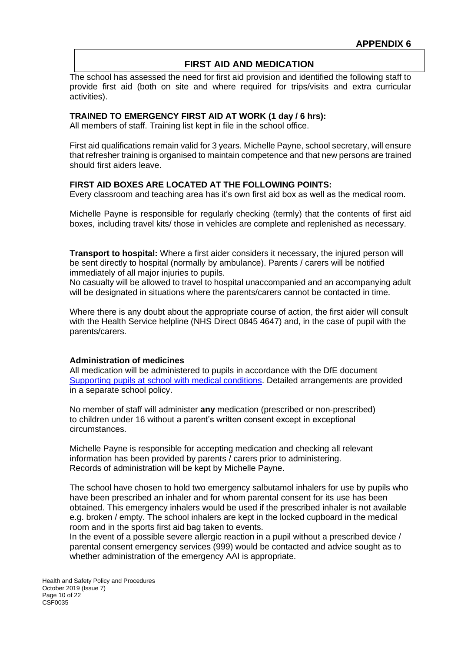### **FIRST AID AND MEDICATION**

The school has assessed the need for first aid provision and identified the following staff to provide first aid (both on site and where required for trips/visits and extra curricular activities).

#### **TRAINED TO EMERGENCY FIRST AID AT WORK (1 day / 6 hrs):**

All members of staff. Training list kept in file in the school office.

First aid qualifications remain valid for 3 years. Michelle Payne, school secretary, will ensure that refresher training is organised to maintain competence and that new persons are trained should first aiders leave.

#### **FIRST AID BOXES ARE LOCATED AT THE FOLLOWING POINTS:**

Every classroom and teaching area has it's own first aid box as well as the medical room.

Michelle Payne is responsible for regularly checking (termly) that the contents of first aid boxes, including travel kits/ those in vehicles are complete and replenished as necessary.

**Transport to hospital:** Where a first aider considers it necessary, the injured person will be sent directly to hospital (normally by ambulance). Parents / carers will be notified immediately of all major injuries to pupils.

No casualty will be allowed to travel to hospital unaccompanied and an accompanying adult will be designated in situations where the parents/carers cannot be contacted in time.

Where there is any doubt about the appropriate course of action, the first aider will consult with the Health Service helpline (NHS Direct 0845 4647) and, in the case of pupil with the parents/carers.

#### **Administration of medicines**

All medication will be administered to pupils in accordance with the DfE document [Supporting pupils at school with medical conditions.](https://www.gov.uk/government/publications/supporting-pupils-at-school-with-medical-conditions--3) Detailed arrangements are provided in a separate school policy.

No member of staff will administer **any** medication (prescribed or non-prescribed) to children under 16 without a parent's written consent except in exceptional circumstances.

Michelle Payne is responsible for accepting medication and checking all relevant information has been provided by parents / carers prior to administering. Records of administration will be kept by Michelle Payne.

The school have chosen to hold two emergency salbutamol inhalers for use by pupils who have been prescribed an inhaler and for whom parental consent for its use has been obtained. This emergency inhalers would be used if the prescribed inhaler is not available e.g. broken / empty. The school inhalers are kept in the locked cupboard in the medical room and in the sports first aid bag taken to events.

In the event of a possible severe allergic reaction in a pupil without a prescribed device / parental consent emergency services (999) would be contacted and advice sought as to whether administration of the emergency AAI is appropriate.

Health and Safety Policy and Procedures October 2019 (Issue 7) Page 10 of 22 CSF0035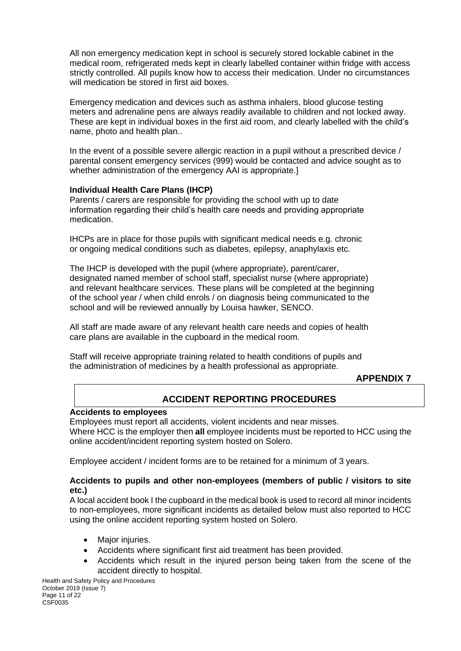All non emergency medication kept in school is securely stored lockable cabinet in the medical room, refrigerated meds kept in clearly labelled container within fridge with access strictly controlled. All pupils know how to access their medication. Under no circumstances will medication be stored in first aid boxes.

Emergency medication and devices such as asthma inhalers, blood glucose testing meters and adrenaline pens are always readily available to children and not locked away. These are kept in individual boxes in the first aid room, and clearly labelled with the child's name, photo and health plan..

In the event of a possible severe allergic reaction in a pupil without a prescribed device / parental consent emergency services (999) would be contacted and advice sought as to whether administration of the emergency AAI is appropriate.]

### **Individual Health Care Plans (IHCP)**

Parents / carers are responsible for providing the school with up to date information regarding their child's health care needs and providing appropriate medication.

IHCPs are in place for those pupils with significant medical needs e.g. chronic or ongoing medical conditions such as diabetes, epilepsy, anaphylaxis etc.

The IHCP is developed with the pupil (where appropriate), parent/carer, designated named member of school staff, specialist nurse (where appropriate) and relevant healthcare services. These plans will be completed at the beginning of the school year / when child enrols / on diagnosis being communicated to the school and will be reviewed annually by Louisa hawker, SENCO.

All staff are made aware of any relevant health care needs and copies of health care plans are available in the cupboard in the medical room.

Staff will receive appropriate training related to health conditions of pupils and the administration of medicines by a health professional as appropriate.

### **APPENDIX 7**

## **ACCIDENT REPORTING PROCEDURES**

### **Accidents to employees**

Employees must report all accidents, violent incidents and near misses. Where HCC is the employer then **all** employee incidents must be reported to HCC using the online accident/incident reporting system hosted on Solero.

Employee accident / incident forms are to be retained for a minimum of 3 years.

### **Accidents to pupils and other non-employees (members of public / visitors to site etc.)**

A local accident book I the cupboard in the medical book is used to record all minor incidents to non-employees, more significant incidents as detailed below must also reported to HCC using the online accident reporting system hosted on Solero.

- Major injuries.
- Accidents where significant first aid treatment has been provided.
- Accidents which result in the injured person being taken from the scene of the accident directly to hospital.

Health and Safety Policy and Procedures October 2019 (Issue 7) Page 11 of 22 CSF0035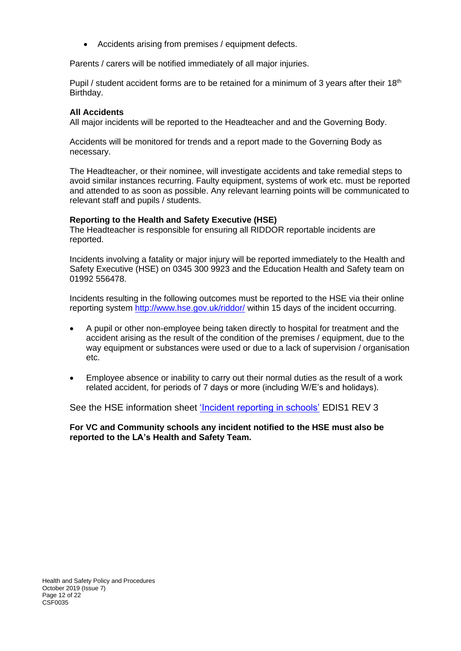• Accidents arising from premises / equipment defects.

Parents / carers will be notified immediately of all major injuries.

Pupil / student accident forms are to be retained for a minimum of 3 years after their  $18<sup>th</sup>$ Birthday.

#### **All Accidents**

All major incidents will be reported to the Headteacher and and the Governing Body.

Accidents will be monitored for trends and a report made to the Governing Body as necessary.

The Headteacher, or their nominee, will investigate accidents and take remedial steps to avoid similar instances recurring. Faulty equipment, systems of work etc. must be reported and attended to as soon as possible. Any relevant learning points will be communicated to relevant staff and pupils / students.

#### **Reporting to the Health and Safety Executive (HSE)**

The Headteacher is responsible for ensuring all RIDDOR reportable incidents are reported.

Incidents involving a fatality or major injury will be reported immediately to the Health and Safety Executive (HSE) on 0345 300 9923 and the Education Health and Safety team on 01992 556478.

Incidents resulting in the following outcomes must be reported to the HSE via their online reporting system <http://www.hse.gov.uk/riddor/> within 15 days of the incident occurring.

- A pupil or other non-employee being taken directly to hospital for treatment and the accident arising as the result of the condition of the premises / equipment, due to the way equipment or substances were used or due to a lack of supervision / organisation etc.
- Employee absence or inability to carry out their normal duties as the result of a work related accident, for periods of 7 days or more (including W/E's and holidays).

See the HSE information sheet ['Incident reporting in schools'](http://www.hse.gov.uk/pubns/edis1.pdf) EDIS1 REV 3

**For VC and Community schools any incident notified to the HSE must also be reported to the LA's Health and Safety Team.**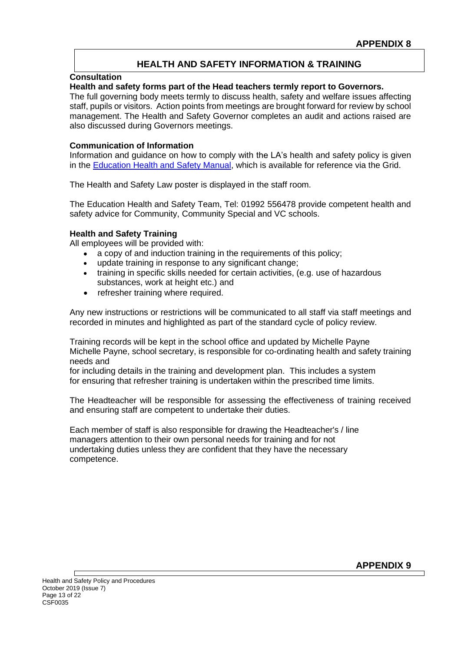## **HEALTH AND SAFETY INFORMATION & TRAINING**

#### **Consultation**

#### **Health and safety forms part of the Head teachers termly report to Governors.**

The full governing body meets termly to discuss health, safety and welfare issues affecting staff, pupils or visitors. Action points from meetings are brought forward for review by school management. The Health and Safety Governor completes an audit and actions raised are also discussed during Governors meetings.

#### **Communication of Information**

Information and guidance on how to comply with the LA's health and safety policy is given in the [Education Health and Safety Manual,](http://www.thegrid.org.uk/info/healthandsafety/manual.shtml#p) which is available for reference via the Grid.

The Health and Safety Law poster is displayed in the staff room.

The Education Health and Safety Team, Tel: 01992 556478 provide competent health and safety advice for Community, Community Special and VC schools.

### **Health and Safety Training**

All employees will be provided with:

- a copy of and induction training in the requirements of this policy;
- update training in response to any significant change:
- training in specific skills needed for certain activities, (e.g. use of hazardous substances, work at height etc.) and
- refresher training where required.

Any new instructions or restrictions will be communicated to all staff via staff meetings and recorded in minutes and highlighted as part of the standard cycle of policy review.

Training records will be kept in the school office and updated by Michelle Payne Michelle Payne, school secretary, is responsible for co-ordinating health and safety training needs and

for including details in the training and development plan. This includes a system for ensuring that refresher training is undertaken within the prescribed time limits.

The Headteacher will be responsible for assessing the effectiveness of training received and ensuring staff are competent to undertake their duties.

Each member of staff is also responsible for drawing the Headteacher's / line managers attention to their own personal needs for training and for not undertaking duties unless they are confident that they have the necessary competence.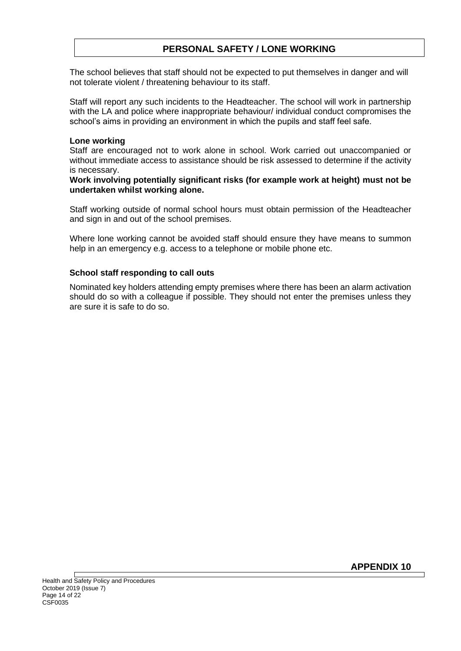## **PERSONAL SAFETY / LONE WORKING**

The school believes that staff should not be expected to put themselves in danger and will not tolerate violent / threatening behaviour to its staff.

Staff will report any such incidents to the Headteacher. The school will work in partnership with the LA and police where inappropriate behaviour/ individual conduct compromises the school's aims in providing an environment in which the pupils and staff feel safe.

#### **Lone working**

Staff are encouraged not to work alone in school. Work carried out unaccompanied or without immediate access to assistance should be risk assessed to determine if the activity is necessary.

**Work involving potentially significant risks (for example work at height) must not be undertaken whilst working alone.**

Staff working outside of normal school hours must obtain permission of the Headteacher and sign in and out of the school premises.

Where lone working cannot be avoided staff should ensure they have means to summon help in an emergency e.g. access to a telephone or mobile phone etc.

### **School staff responding to call outs**

Nominated key holders attending empty premises where there has been an alarm activation should do so with a colleague if possible. They should not enter the premises unless they are sure it is safe to do so.

**APPENDIX 10**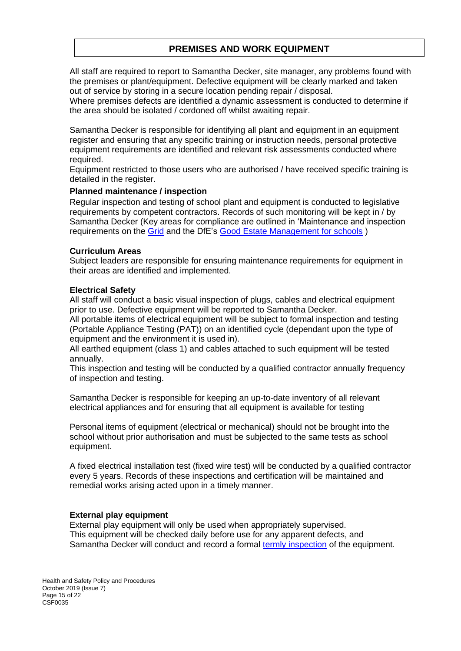## **PREMISES AND WORK EQUIPMENT**

All staff are required to report to Samantha Decker, site manager, any problems found with the premises or plant/equipment. Defective equipment will be clearly marked and taken out of service by storing in a secure location pending repair / disposal.

Where premises defects are identified a dynamic assessment is conducted to determine if the area should be isolated / cordoned off whilst awaiting repair.

Samantha Decker is responsible for identifying all plant and equipment in an equipment register and ensuring that any specific training or instruction needs, personal protective equipment requirements are identified and relevant risk assessments conducted where required.

Equipment restricted to those users who are authorised / have received specific training is detailed in the register.

#### **Planned maintenance / inspection**

Regular inspection and testing of school plant and equipment is conducted to legislative requirements by competent contractors. Records of such monitoring will be kept in / by Samantha Decker (Key areas for compliance are outlined in 'Maintenance and inspection requirements on the [Grid](http://www.thegrid.org.uk/info/healthandsafety/manual.shtml#m) and the DfE's [Good Estate Management for schools](https://www.gov.uk/guidance/good-estate-management-for-schools/health-and-safety) )

#### **Curriculum Areas**

Subject leaders are responsible for ensuring maintenance requirements for equipment in their areas are identified and implemented.

#### **Electrical Safety**

All staff will conduct a basic visual inspection of plugs, cables and electrical equipment prior to use. Defective equipment will be reported to Samantha Decker.

All portable items of electrical equipment will be subject to formal inspection and testing (Portable Appliance Testing (PAT)) on an identified cycle (dependant upon the type of equipment and the environment it is used in).

All earthed equipment (class 1) and cables attached to such equipment will be tested annually.

This inspection and testing will be conducted by a qualified contractor annually frequency of inspection and testing.

Samantha Decker is responsible for keeping an up-to-date inventory of all relevant electrical appliances and for ensuring that all equipment is available for testing

Personal items of equipment (electrical or mechanical) should not be brought into the school without prior authorisation and must be subjected to the same tests as school equipment.

A fixed electrical installation test (fixed wire test) will be conducted by a qualified contractor every 5 years. Records of these inspections and certification will be maintained and remedial works arising acted upon in a timely manner.

#### **External play equipment**

External play equipment will only be used when appropriately supervised. This equipment will be checked daily before use for any apparent defects, and Samantha Decker will conduct and record a formal [termly inspection](http://www.thegrid.org.uk/info/healthandsafety/documents_manual/outdoor_play_equipment_checklist.doc) of the equipment.

Health and Safety Policy and Procedures October 2019 (Issue 7) Page 15 of 22 CSF0035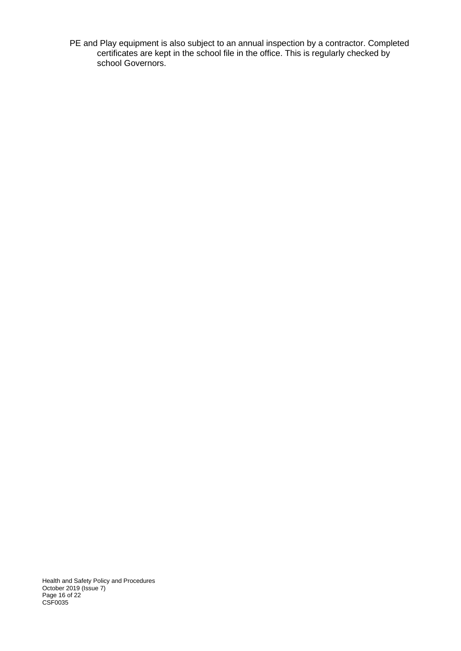PE and Play equipment is also subject to an annual inspection by a contractor. Completed certificates are kept in the school file in the office. This is regularly checked by school Governors.

Health and Safety Policy and Procedures October 2019 (Issue 7) Page 16 of 22 CSF0035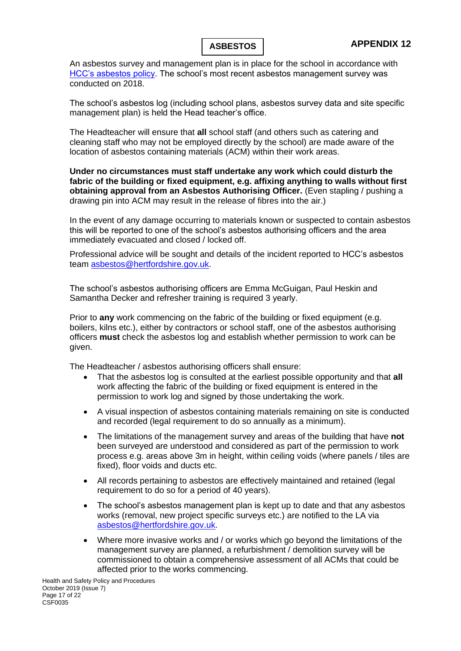An asbestos survey and management plan is in place for the school in accordance with [HCC's asbestos policy.](http://www.thegrid.org.uk/info/healthandsafety/manual.shtml#A) The school's most recent asbestos management survey was conducted on 2018.

The school's asbestos log (including school plans, asbestos survey data and site specific management plan) is held the Head teacher's office.

The Headteacher will ensure that **all** school staff (and others such as catering and cleaning staff who may not be employed directly by the school) are made aware of the location of asbestos containing materials (ACM) within their work areas.

**Under no circumstances must staff undertake any work which could disturb the fabric of the building or fixed equipment, e.g. affixing anything to walls without first obtaining approval from an Asbestos Authorising Officer.** (Even stapling / pushing a drawing pin into ACM may result in the release of fibres into the air.)

In the event of any damage occurring to materials known or suspected to contain asbestos this will be reported to one of the school's asbestos authorising officers and the area immediately evacuated and closed / locked off.

Professional advice will be sought and details of the incident reported to HCC's asbestos team [asbestos@hertfordshire.gov.uk.](mailto:asbestos@hertfordshire.gov.uk)

The school's asbestos authorising officers are Emma McGuigan, Paul Heskin and Samantha Decker and refresher training is required 3 yearly.

Prior to **any** work commencing on the fabric of the building or fixed equipment (e.g. boilers, kilns etc.), either by contractors or school staff, one of the asbestos authorising officers **must** check the asbestos log and establish whether permission to work can be given.

The Headteacher / asbestos authorising officers shall ensure:

- That the asbestos log is consulted at the earliest possible opportunity and that **all** work affecting the fabric of the building or fixed equipment is entered in the permission to work log and signed by those undertaking the work.
- A visual inspection of asbestos containing materials remaining on site is conducted and recorded (legal requirement to do so annually as a minimum).
- The limitations of the management survey and areas of the building that have **not** been surveyed are understood and considered as part of the permission to work process e.g. areas above 3m in height, within ceiling voids (where panels / tiles are fixed), floor voids and ducts etc.
- All records pertaining to asbestos are effectively maintained and retained (legal requirement to do so for a period of 40 years).
- The school's asbestos management plan is kept up to date and that any asbestos works (removal, new project specific surveys etc.) are notified to the LA via [asbestos@hertfordshire.gov.uk.](mailto:asbestos@hertfordshire.gov.uk)
- Where more invasive works and / or works which go beyond the limitations of the management survey are planned, a refurbishment / demolition survey will be commissioned to obtain a comprehensive assessment of all ACMs that could be affected prior to the works commencing.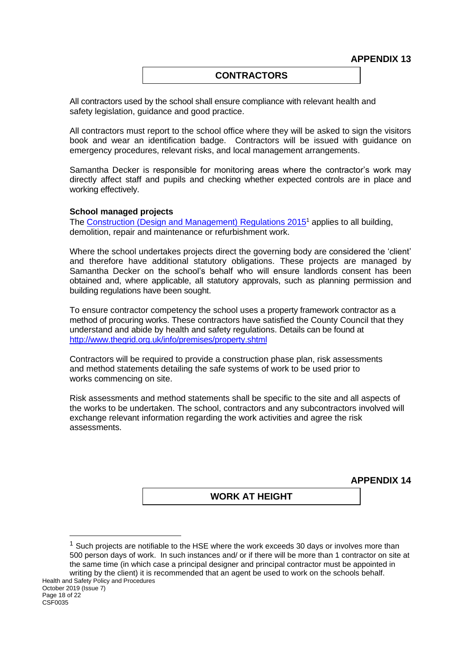**APPENDIX 13**

### **CONTRACTORS**

All contractors used by the school shall ensure compliance with relevant health and safety legislation, guidance and good practice.

All contractors must report to the school office where they will be asked to sign the visitors book and wear an identification badge. Contractors will be issued with guidance on emergency procedures, relevant risks, and local management arrangements.

Samantha Decker is responsible for monitoring areas where the contractor's work may directly affect staff and pupils and checking whether expected controls are in place and working effectively.

#### **School managed projects**

The [Construction \(Design and Management\) Regulations 2015](http://www.hse.gov.uk/construction/cdm/2015/index.htm?ebul=gd-cons/jun15&cr=1)<sup>1</sup> applies to all building, demolition, repair and maintenance or refurbishment work.

Where the school undertakes projects direct the governing body are considered the 'client' and therefore have additional statutory obligations. These projects are managed by Samantha Decker on the school's behalf who will ensure landlords consent has been obtained and, where applicable, all statutory approvals, such as planning permission and building regulations have been sought.

To ensure contractor competency the school uses a property framework contractor as a method of procuring works. These contractors have satisfied the County Council that they understand and abide by health and safety regulations. Details can be found at <http://www.thegrid.org.uk/info/premises/property.shtml>

Contractors will be required to provide a construction phase plan, risk assessments and method statements detailing the safe systems of work to be used prior to works commencing on site.

Risk assessments and method statements shall be specific to the site and all aspects of the works to be undertaken. The school, contractors and any subcontractors involved will exchange relevant information regarding the work activities and agree the risk assessments.

**APPENDIX 14**

**WORK AT HEIGHT**

 $1$  Such projects are notifiable to the HSE where the work exceeds 30 days or involves more than 500 person days of work. In such instances and/ or if there will be more than 1 contractor on site at the same time (in which case a principal designer and principal contractor must be appointed in writing by the client) it is recommended that an agent be used to work on the schools behalf.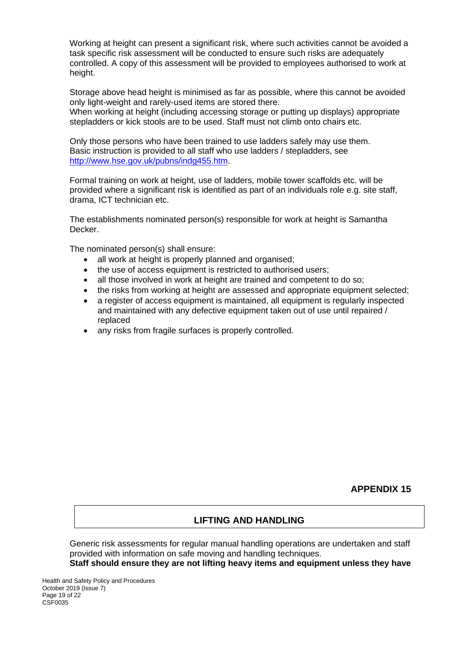Working at height can present a significant risk, where such activities cannot be avoided a task specific risk assessment will be conducted to ensure such risks are adequately controlled. A copy of this assessment will be provided to employees authorised to work at height.

Storage above head height is minimised as far as possible, where this cannot be avoided only light-weight and rarely-used items are stored there.

When working at height (including accessing storage or putting up displays) appropriate stepladders or kick stools are to be used. Staff must not climb onto chairs etc.

Only those persons who have been trained to use ladders safely may use them. Basic instruction is provided to all staff who use ladders / stepladders, see [http://www.hse.gov.uk/pubns/indg455.htm.](http://www.hse.gov.uk/pubns/indg455.htm)

Formal training on work at height, use of ladders, mobile tower scaffolds etc. will be provided where a significant risk is identified as part of an individuals role e.g. site staff, drama, ICT technician etc.

The establishments nominated person(s) responsible for work at height is Samantha Decker.

The nominated person(s) shall ensure:

- all work at height is properly planned and organised;
- the use of access equipment is restricted to authorised users;
- all those involved in work at height are trained and competent to do so;
- the risks from working at height are assessed and appropriate equipment selected;
- a register of access equipment is maintained, all equipment is regularly inspected and maintained with any defective equipment taken out of use until repaired / replaced
- any risks from fragile surfaces is properly controlled.

**APPENDIX 15**

### **LIFTING AND HANDLING**

Generic risk assessments for regular manual handling operations are undertaken and staff provided with information on safe moving and handling techniques.

**Staff should ensure they are not lifting heavy items and equipment unless they have** 

Health and Safety Policy and Procedures October 2019 (Issue 7) Page 19 of 22 CSF0035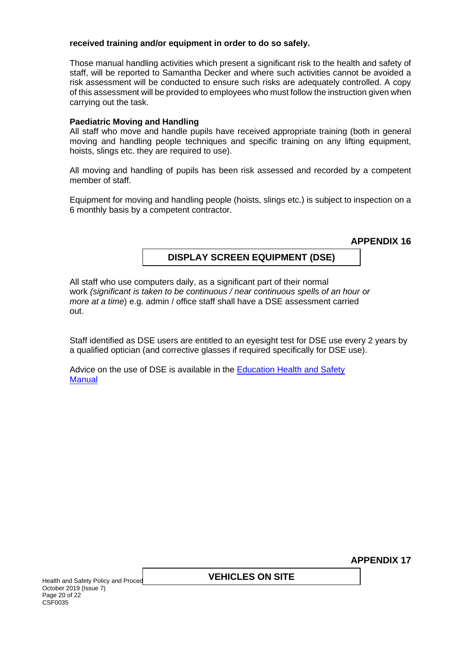### **received training and/or equipment in order to do so safely.**

Those manual handling activities which present a significant risk to the health and safety of staff, will be reported to Samantha Decker and where such activities cannot be avoided a risk assessment will be conducted to ensure such risks are adequately controlled. A copy of this assessment will be provided to employees who must follow the instruction given when carrying out the task.

#### **Paediatric Moving and Handling**

All staff who move and handle pupils have received appropriate training (both in general moving and handling people techniques and specific training on any lifting equipment, hoists, slings etc. they are required to use).

All moving and handling of pupils has been risk assessed and recorded by a competent member of staff.

Equipment for moving and handling people (hoists, slings etc.) is subject to inspection on a 6 monthly basis by a competent contractor.

**APPENDIX 16**

## **DISPLAY SCREEN EQUIPMENT (DSE)**

All staff who use computers daily, as a significant part of their normal work *(significant is taken to be continuous / near continuous spells of an hour or more at a time*) e.g. admin / office staff shall have a DSE assessment carried out.

Staff identified as DSE users are entitled to an eyesight test for DSE use every 2 years by a qualified optician (and corrective glasses if required specifically for DSE use).

Advice on the use of DSE is available in the [Education Health and Safety](http://www.thegrid.org.uk/info/healthandsafety/documents_manual/display_screen_equipment.doc) **Manual** 

**APPENDIX 17**

Health and Safety Policy and Proced October 2019 (Issue 7) Page 20 of 22 CSF0035

## **VEHICLES ON SITE**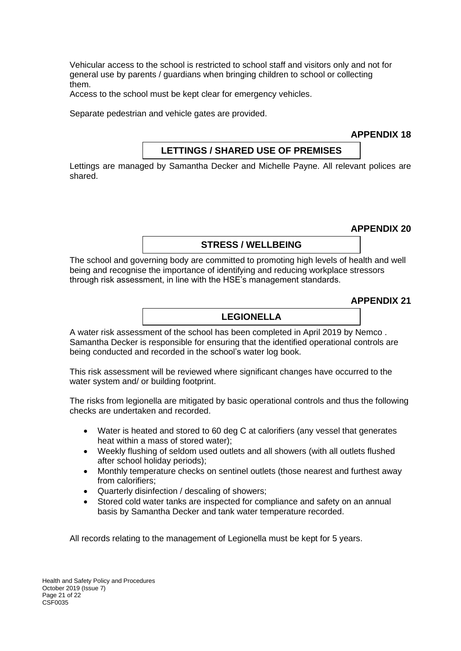Vehicular access to the school is restricted to school staff and visitors only and not for general use by parents / guardians when bringing children to school or collecting them.

Access to the school must be kept clear for emergency vehicles.

Separate pedestrian and vehicle gates are provided.

**APPENDIX 18**

### **LETTINGS / SHARED USE OF PREMISES**

Lettings are managed by Samantha Decker and Michelle Payne. All relevant polices are shared.

**APPENDIX 20**

## **STRESS / WELLBEING**

The school and governing body are committed to promoting high levels of health and well being and recognise the importance of identifying and reducing workplace stressors through risk assessment, in line with the HSE's management standards.

**APPENDIX 21**

### **LEGIONELLA**

A water risk assessment of the school has been completed in April 2019 by Nemco . Samantha Decker is responsible for ensuring that the identified operational controls are being conducted and recorded in the school's water log book.

This risk assessment will be reviewed where significant changes have occurred to the water system and/ or building footprint.

The risks from legionella are mitigated by basic operational controls and thus the following checks are undertaken and recorded.

- Water is heated and stored to 60 deg C at calorifiers (any vessel that generates heat within a mass of stored water);
- Weekly flushing of seldom used outlets and all showers (with all outlets flushed after school holiday periods);
- Monthly temperature checks on sentinel outlets (those nearest and furthest away from calorifiers;
- Quarterly disinfection / descaling of showers;
- Stored cold water tanks are inspected for compliance and safety on an annual basis by Samantha Decker and tank water temperature recorded.

All records relating to the management of Legionella must be kept for 5 years.